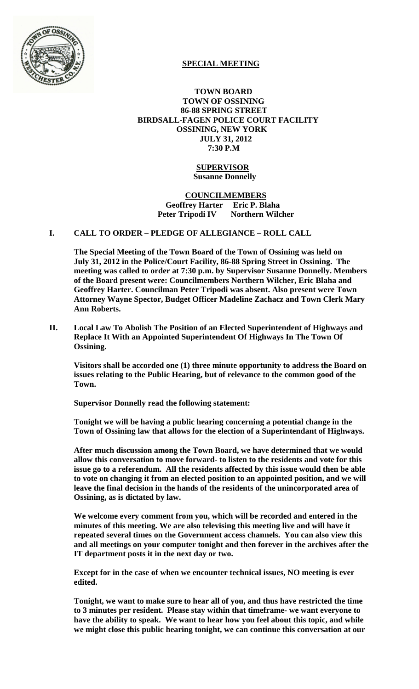

# **SPECIAL MEETING**

 **TOWN BOARD TOWN OF OSSINING 86-88 SPRING STREET BIRDSALL-FAGEN POLICE COURT FACILITY OSSINING, NEW YORK JULY 31, 2012 7:30 P.M**

#### **SUPERVISOR Susanne Donnelly**

### **COUNCILMEMBERS Geoffrey Harter Eric P. Blaha Peter Tripodi IV Northern Wilcher**

## **I. CALL TO ORDER – PLEDGE OF ALLEGIANCE – ROLL CALL**

**The Special Meeting of the Town Board of the Town of Ossining was held on July 31, 2012 in the Police/Court Facility, 86-88 Spring Street in Ossining. The meeting was called to order at 7:30 p.m. by Supervisor Susanne Donnelly. Members of the Board present were: Councilmembers Northern Wilcher, Eric Blaha and Geoffrey Harter. Councilman Peter Tripodi was absent. Also present were Town Attorney Wayne Spector, Budget Officer Madeline Zachacz and Town Clerk Mary Ann Roberts.**

**II. Local Law To Abolish The Position of an Elected Superintendent of Highways and Replace It With an Appointed Superintendent Of Highways In The Town Of Ossining.**

**Visitors shall be accorded one (1) three minute opportunity to address the Board on issues relating to the Public Hearing, but of relevance to the common good of the Town.** 

**Supervisor Donnelly read the following statement:**

**Tonight we will be having a public hearing concerning a potential change in the Town of Ossining law that allows for the election of a Superintendant of Highways.**

**After much discussion among the Town Board, we have determined that we would allow this conversation to move forward- to listen to the residents and vote for this issue go to a referendum. All the residents affected by this issue would then be able to vote on changing it from an elected position to an appointed position, and we will leave the final decision in the hands of the residents of the unincorporated area of Ossining, as is dictated by law.**

**We welcome every comment from you, which will be recorded and entered in the minutes of this meeting. We are also televising this meeting live and will have it repeated several times on the Government access channels. You can also view this and all meetings on your computer tonight and then forever in the archives after the IT department posts it in the next day or two.**

**Except for in the case of when we encounter technical issues, NO meeting is ever edited.**

**Tonight, we want to make sure to hear all of you, and thus have restricted the time to 3 minutes per resident. Please stay within that timeframe- we want everyone to have the ability to speak. We want to hear how you feel about this topic, and while we might close this public hearing tonight, we can continue this conversation at our**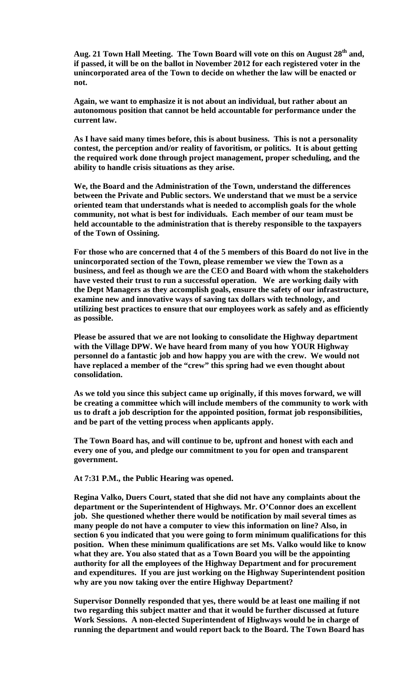Aug. 21 Town Hall Meeting. The Town Board will vote on this on August 28<sup>th</sup> and, **if passed, it will be on the ballot in November 2012 for each registered voter in the unincorporated area of the Town to decide on whether the law will be enacted or not.**

**Again, we want to emphasize it is not about an individual, but rather about an autonomous position that cannot be held accountable for performance under the current law.**

**As I have said many times before, this is about business. This is not a personality contest, the perception and/or reality of favoritism, or politics. It is about getting the required work done through project management, proper scheduling, and the ability to handle crisis situations as they arise.** 

**We, the Board and the Administration of the Town, understand the differences between the Private and Public sectors. We understand that we must be a service oriented team that understands what is needed to accomplish goals for the whole community, not what is best for individuals. Each member of our team must be held accountable to the administration that is thereby responsible to the taxpayers of the Town of Ossining.** 

**For those who are concerned that 4 of the 5 members of this Board do not live in the unincorporated section of the Town, please remember we view the Town as a business, and feel as though we are the CEO and Board with whom the stakeholders have vested their trust to run a successful operation. We are working daily with the Dept Managers as they accomplish goals, ensure the safety of our infrastructure, examine new and innovative ways of saving tax dollars with technology, and utilizing best practices to ensure that our employees work as safely and as efficiently as possible.** 

**Please be assured that we are not looking to consolidate the Highway department with the Village DPW. We have heard from many of you how YOUR Highway personnel do a fantastic job and how happy you are with the crew. We would not have replaced a member of the "crew" this spring had we even thought about consolidation.** 

**As we told you since this subject came up originally, if this moves forward, we will be creating a committee which will include members of the community to work with us to draft a job description for the appointed position, format job responsibilities, and be part of the vetting process when applicants apply.** 

**The Town Board has, and will continue to be, upfront and honest with each and every one of you, and pledge our commitment to you for open and transparent government.**

**At 7:31 P.M., the Public Hearing was opened.**

**Regina Valko, Duers Court, stated that she did not have any complaints about the department or the Superintendent of Highways. Mr. O'Connor does an excellent job. She questioned whether there would be notification by mail several times as many people do not have a computer to view this information on line? Also, in section 6 you indicated that you were going to form minimum qualifications for this position. When these minimum qualifications are set Ms. Valko would like to know what they are. You also stated that as a Town Board you will be the appointing authority for all the employees of the Highway Department and for procurement and expenditures. If you are just working on the Highway Superintendent position why are you now taking over the entire Highway Department?**

**Supervisor Donnelly responded that yes, there would be at least one mailing if not two regarding this subject matter and that it would be further discussed at future Work Sessions. A non-elected Superintendent of Highways would be in charge of running the department and would report back to the Board. The Town Board has**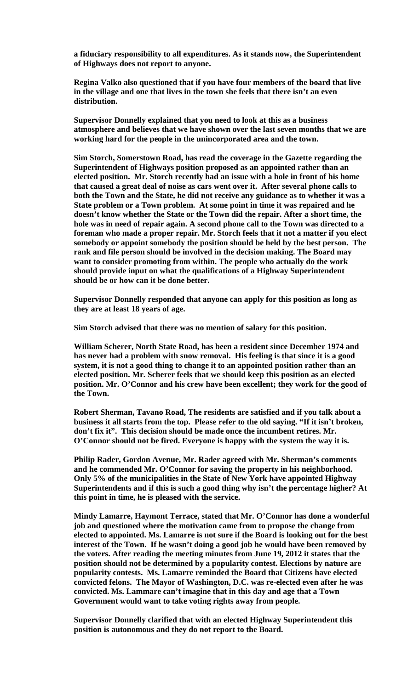**a fiduciary responsibility to all expenditures. As it stands now, the Superintendent of Highways does not report to anyone.**

**Regina Valko also questioned that if you have four members of the board that live in the village and one that lives in the town she feels that there isn't an even distribution.**

**Supervisor Donnelly explained that you need to look at this as a business atmosphere and believes that we have shown over the last seven months that we are working hard for the people in the unincorporated area and the town.**

**Sim Storch, Somerstown Road, has read the coverage in the Gazette regarding the Superintendent of Highways position proposed as an appointed rather than an elected position. Mr. Storch recently had an issue with a hole in front of his home that caused a great deal of noise as cars went over it. After several phone calls to both the Town and the State, he did not receive any guidance as to whether it was a State problem or a Town problem. At some point in time it was repaired and he doesn't know whether the State or the Town did the repair. After a short time, the hole was in need of repair again. A second phone call to the Town was directed to a foreman who made a proper repair. Mr. Storch feels that it not a matter if you elect somebody or appoint somebody the position should be held by the best person. The rank and file person should be involved in the decision making. The Board may want to consider promoting from within. The people who actually do the work should provide input on what the qualifications of a Highway Superintendent should be or how can it be done better.** 

**Supervisor Donnelly responded that anyone can apply for this position as long as they are at least 18 years of age.**

**Sim Storch advised that there was no mention of salary for this position.**

**William Scherer, North State Road, has been a resident since December 1974 and has never had a problem with snow removal. His feeling is that since it is a good system, it is not a good thing to change it to an appointed position rather than an elected position. Mr. Scherer feels that we should keep this position as an elected position. Mr. O'Connor and his crew have been excellent; they work for the good of the Town.** 

**Robert Sherman, Tavano Road, The residents are satisfied and if you talk about a business it all starts from the top. Please refer to the old saying. "If it isn't broken, don't fix it". This decision should be made once the incumbent retires. Mr. O'Connor should not be fired. Everyone is happy with the system the way it is.** 

**Philip Rader, Gordon Avenue, Mr. Rader agreed with Mr. Sherman's comments and he commended Mr. O'Connor for saving the property in his neighborhood. Only 5% of the municipalities in the State of New York have appointed Highway Superintendents and if this is such a good thing why isn't the percentage higher? At this point in time, he is pleased with the service.** 

**Mindy Lamarre, Haymont Terrace, stated that Mr. O'Connor has done a wonderful job and questioned where the motivation came from to propose the change from elected to appointed. Ms. Lamarre is not sure if the Board is looking out for the best interest of the Town. If he wasn't doing a good job he would have been removed by the voters. After reading the meeting minutes from June 19, 2012 it states that the position should not be determined by a popularity contest. Elections by nature are popularity contests. Ms. Lamarre reminded the Board that Citizens have elected convicted felons. The Mayor of Washington, D.C. was re-elected even after he was convicted. Ms. Lammare can't imagine that in this day and age that a Town Government would want to take voting rights away from people.**

**Supervisor Donnelly clarified that with an elected Highway Superintendent this position is autonomous and they do not report to the Board.**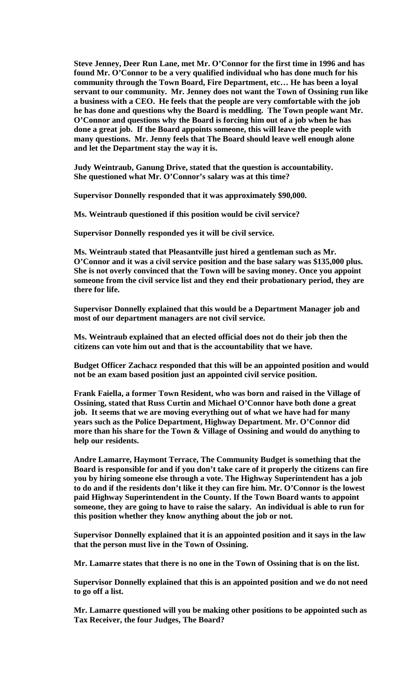**Steve Jenney, Deer Run Lane, met Mr. O'Connor for the first time in 1996 and has found Mr. O'Connor to be a very qualified individual who has done much for his community through the Town Board, Fire Department, etc… He has been a loyal servant to our community. Mr. Jenney does not want the Town of Ossining run like a business with a CEO. He feels that the people are very comfortable with the job he has done and questions why the Board is meddling. The Town people want Mr. O'Connor and questions why the Board is forcing him out of a job when he has done a great job. If the Board appoints someone, this will leave the people with many questions. Mr. Jenny feels that The Board should leave well enough alone and let the Department stay the way it is.** 

**Judy Weintraub, Ganung Drive, stated that the question is accountability. She questioned what Mr. O'Connor's salary was at this time?** 

**Supervisor Donnelly responded that it was approximately \$90,000.** 

**Ms. Weintraub questioned if this position would be civil service?**

**Supervisor Donnelly responded yes it will be civil service.** 

**Ms. Weintraub stated that Pleasantville just hired a gentleman such as Mr. O'Connor and it was a civil service position and the base salary was \$135,000 plus. She is not overly convinced that the Town will be saving money. Once you appoint someone from the civil service list and they end their probationary period, they are there for life.** 

**Supervisor Donnelly explained that this would be a Department Manager job and most of our department managers are not civil service.**

**Ms. Weintraub explained that an elected official does not do their job then the citizens can vote him out and that is the accountability that we have.** 

**Budget Officer Zachacz responded that this will be an appointed position and would not be an exam based position just an appointed civil service position.**

**Frank Faiella, a former Town Resident, who was born and raised in the Village of Ossining, stated that Russ Curtin and Michael O'Connor have both done a great job. It seems that we are moving everything out of what we have had for many years such as the Police Department, Highway Department. Mr. O'Connor did more than his share for the Town & Village of Ossining and would do anything to help our residents.** 

**Andre Lamarre, Haymont Terrace, The Community Budget is something that the Board is responsible for and if you don't take care of it properly the citizens can fire you by hiring someone else through a vote. The Highway Superintendent has a job to do and if the residents don't like it they can fire him. Mr. O'Connor is the lowest paid Highway Superintendent in the County. If the Town Board wants to appoint someone, they are going to have to raise the salary. An individual is able to run for this position whether they know anything about the job or not.**

**Supervisor Donnelly explained that it is an appointed position and it says in the law that the person must live in the Town of Ossining.**

**Mr. Lamarre states that there is no one in the Town of Ossining that is on the list.** 

**Supervisor Donnelly explained that this is an appointed position and we do not need to go off a list.** 

**Mr. Lamarre questioned will you be making other positions to be appointed such as Tax Receiver, the four Judges, The Board?**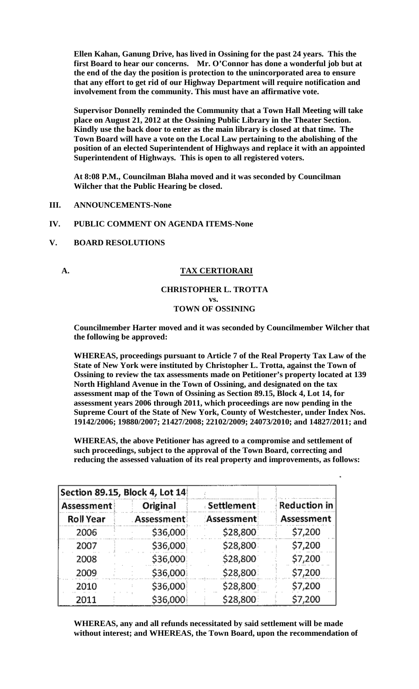**Ellen Kahan, Ganung Drive, has lived in Ossining for the past 24 years. This the first Board to hear our concerns. Mr. O'Connor has done a wonderful job but at the end of the day the position is protection to the unincorporated area to ensure that any effort to get rid of our Highway Department will require notification and involvement from the community. This must have an affirmative vote.** 

**Supervisor Donnelly reminded the Community that a Town Hall Meeting will take place on August 21, 2012 at the Ossining Public Library in the Theater Section. Kindly use the back door to enter as the main library is closed at that time. The Town Board will have a vote on the Local Law pertaining to the abolishing of the position of an elected Superintendent of Highways and replace it with an appointed Superintendent of Highways. This is open to all registered voters.**

**At 8:08 P.M., Councilman Blaha moved and it was seconded by Councilman Wilcher that the Public Hearing be closed.**

**III. ANNOUNCEMENTS-None**

#### **IV. PUBLIC COMMENT ON AGENDA ITEMS-None**

**V. BOARD RESOLUTIONS** 

### **A. TAX CERTIORARI**

#### **CHRISTOPHER L. TROTTA vs. TOWN OF OSSINING**

**Councilmember Harter moved and it was seconded by Councilmember Wilcher that the following be approved:**

**WHEREAS, proceedings pursuant to Article 7 of the Real Property Tax Law of the State of New York were instituted by Christopher L. Trotta, against the Town of Ossining to review the tax assessments made on Petitioner's property located at 139 North Highland Avenue in the Town of Ossining, and designated on the tax assessment map of the Town of Ossining as Section 89.15, Block 4, Lot 14, for assessment years 2006 through 2011, which proceedings are now pending in the Supreme Court of the State of New York, County of Westchester, under Index Nos. 19142/2006; 19880/2007; 21427/2008; 22102/2009; 24073/2010; and 14827/2011; and** 

**WHEREAS, the above Petitioner has agreed to a compromise and settlement of such proceedings, subject to the approval of the Town Board, correcting and reducing the assessed valuation of its real property and improvements, as follows:** 

| Section 89.15, Block 4, Lot 14 |              |             |                     |  |  |
|--------------------------------|--------------|-------------|---------------------|--|--|
| Assessment                     | Original     | ∍Settlement | <b>Reduction in</b> |  |  |
| <b>Roll Year</b>               | : Assessment | Assessment  | Assessment          |  |  |
| 2006                           | \$36,000     | \$28,800    | \$7,200             |  |  |
| 2007                           | \$36,000     | \$28,800    | \$7,200             |  |  |
| 2008                           | \$36,000     | \$28,800    | \$7,200             |  |  |
| 2009                           | \$36,000     | \$28,800    | \$7,200             |  |  |
| 2010                           | \$36,000     | \$28,800    | \$7,200             |  |  |
| 2011                           | \$36,000     | \$28,800    | \$7,200             |  |  |

**WHEREAS, any and all refunds necessitated by said settlement will be made without interest; and WHEREAS, the Town Board, upon the recommendation of**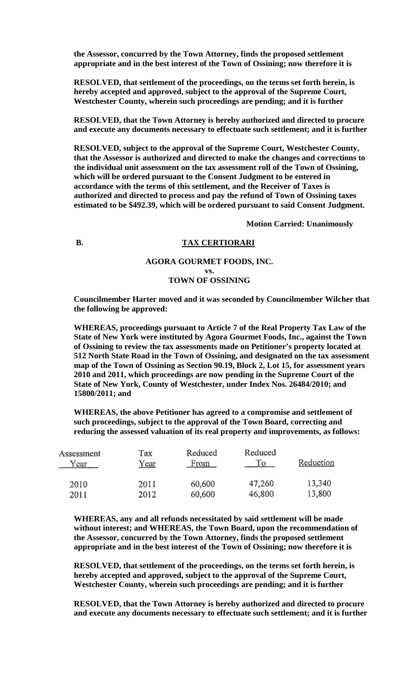**the Assessor, concurred by the Town Attorney, finds the proposed settlement appropriate and in the best interest of the Town of Ossining; now therefore it is** 

**RESOLVED, that settlement of the proceedings, on the terms set forth herein, is hereby accepted and approved, subject to the approval of the Supreme Court, Westchester County, wherein such proceedings are pending; and it is further** 

**RESOLVED, that the Town Attorney is hereby authorized and directed to procure and execute any documents necessary to effectuate such settlement; and it is further** 

**RESOLVED, subject to the approval of the Supreme Court, Westchester County, that the Assessor is authorized and directed to make the changes and corrections to the individual unit assessment on the tax assessment roll of the Town of Ossining, which will be ordered pursuant to the Consent Judgment to be entered in accordance with the terms of this settlement, and the Receiver of Taxes is authorized and directed to process and pay the refund of Town of Ossining taxes estimated to be \$492.39, which will be ordered pursuant to said Consent Judgment.**

**Motion Carried: Unanimously**

# **B.** TAX CERTIORARI

#### **AGORA GOURMET FOODS, INC.**

#### **vs. TOWN OF OSSINING**

**Councilmember Harter moved and it was seconded by Councilmember Wilcher that the following be approved:**

**WHEREAS, proceedings pursuant to Article 7 of the Real Property Tax Law of the State of New York were instituted by Agora Gourmet Foods, Inc., against the Town of Ossining to review the tax assessments made on Petitioner's property located at 512 North State Road in the Town of Ossining, and designated on the tax assessment map of the Town of Ossining as Section 90.19, Block 2, Lot 15, for assessment years 2010 and 2011, which proceedings are now pending in the Supreme Court of the State of New York, County of Westchester, under Index Nos. 26484/2010; and 15800/2011; and** 

**WHEREAS, the above Petitioner has agreed to a compromise and settlement of such proceedings, subject to the approval of the Town Board, correcting and reducing the assessed valuation of its real property and improvements, as follows:** 

| Assessment | Tax  | Reduced | Reduced | Reduction |
|------------|------|---------|---------|-----------|
| Year       | Year | From    | Тo      |           |
| 2010       | 2011 | 60,600  | 47,260  | 13,340    |
| 2011       | 2012 | 60,600  | 46,800  | 13,800    |

**WHEREAS, any and all refunds necessitated by said settlement will be made without interest; and WHEREAS, the Town Board, upon the recommendation of the Assessor, concurred by the Town Attorney, finds the proposed settlement appropriate and in the best interest of the Town of Ossining; now therefore it is** 

**RESOLVED, that settlement of the proceedings, on the terms set forth herein, is hereby accepted and approved, subject to the approval of the Supreme Court, Westchester County, wherein such proceedings are pending; and it is further** 

**RESOLVED, that the Town Attorney is hereby authorized and directed to procure and execute any documents necessary to effectuate such settlement; and it is further**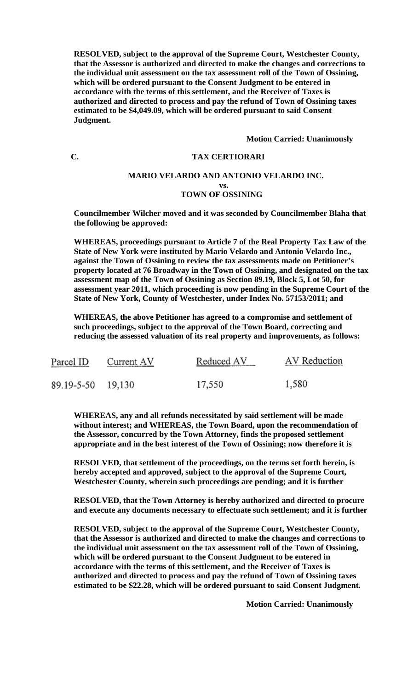**RESOLVED, subject to the approval of the Supreme Court, Westchester County, that the Assessor is authorized and directed to make the changes and corrections to the individual unit assessment on the tax assessment roll of the Town of Ossining, which will be ordered pursuant to the Consent Judgment to be entered in accordance with the terms of this settlement, and the Receiver of Taxes is authorized and directed to process and pay the refund of Town of Ossining taxes estimated to be \$4,049.09, which will be ordered pursuant to said Consent Judgment.**

#### **Motion Carried: Unanimously**

## **C. TAX CERTIORARI**

### **MARIO VELARDO AND ANTONIO VELARDO INC.**

#### **vs. TOWN OF OSSINING**

**Councilmember Wilcher moved and it was seconded by Councilmember Blaha that the following be approved:**

**WHEREAS, proceedings pursuant to Article 7 of the Real Property Tax Law of the State of New York were instituted by Mario Velardo and Antonio Velardo Inc., against the Town of Ossining to review the tax assessments made on Petitioner's property located at 76 Broadway in the Town of Ossining, and designated on the tax assessment map of the Town of Ossining as Section 89.19, Block 5, Lot 50, for assessment year 2011, which proceeding is now pending in the Supreme Court of the State of New York, County of Westchester, under Index No. 57153/2011; and** 

**WHEREAS, the above Petitioner has agreed to a compromise and settlement of such proceedings, subject to the approval of the Town Board, correcting and reducing the assessed valuation of its real property and improvements, as follows:** 

| Parcel ID         | Current AV | Reduced AV | AV Reduction |
|-------------------|------------|------------|--------------|
| 89.19-5-50 19,130 |            | 17,550     | 1,580        |

**WHEREAS, any and all refunds necessitated by said settlement will be made without interest; and WHEREAS, the Town Board, upon the recommendation of the Assessor, concurred by the Town Attorney, finds the proposed settlement appropriate and in the best interest of the Town of Ossining; now therefore it is** 

**RESOLVED, that settlement of the proceedings, on the terms set forth herein, is hereby accepted and approved, subject to the approval of the Supreme Court, Westchester County, wherein such proceedings are pending; and it is further** 

**RESOLVED, that the Town Attorney is hereby authorized and directed to procure and execute any documents necessary to effectuate such settlement; and it is further** 

**RESOLVED, subject to the approval of the Supreme Court, Westchester County, that the Assessor is authorized and directed to make the changes and corrections to the individual unit assessment on the tax assessment roll of the Town of Ossining, which will be ordered pursuant to the Consent Judgment to be entered in accordance with the terms of this settlement, and the Receiver of Taxes is authorized and directed to process and pay the refund of Town of Ossining taxes estimated to be \$22.28, which will be ordered pursuant to said Consent Judgment.**

**Motion Carried: Unanimously**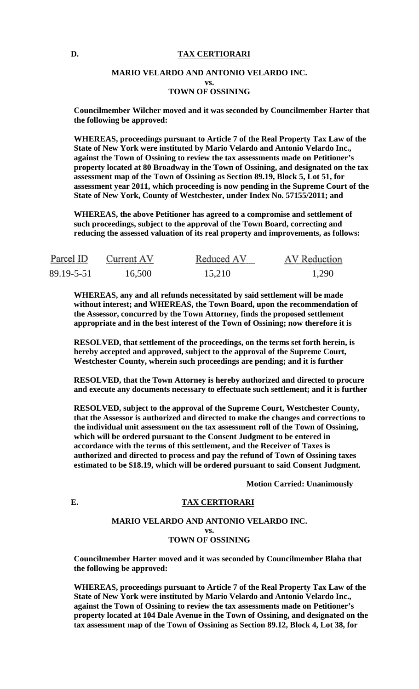#### **D. TAX CERTIORARI**

#### **MARIO VELARDO AND ANTONIO VELARDO INC. vs. TOWN OF OSSINING**

**Councilmember Wilcher moved and it was seconded by Councilmember Harter that the following be approved:**

**WHEREAS, proceedings pursuant to Article 7 of the Real Property Tax Law of the State of New York were instituted by Mario Velardo and Antonio Velardo Inc., against the Town of Ossining to review the tax assessments made on Petitioner's property located at 80 Broadway in the Town of Ossining, and designated on the tax assessment map of the Town of Ossining as Section 89.19, Block 5, Lot 51, for assessment year 2011, which proceeding is now pending in the Supreme Court of the State of New York, County of Westchester, under Index No. 57155/2011; and** 

**WHEREAS, the above Petitioner has agreed to a compromise and settlement of such proceedings, subject to the approval of the Town Board, correcting and reducing the assessed valuation of its real property and improvements, as follows:** 

| Parcel ID  | Current AV | Reduced AV | AV Reduction |
|------------|------------|------------|--------------|
| 89.19-5-51 | 16,500     | 15,210     | 1,290        |

**WHEREAS, any and all refunds necessitated by said settlement will be made without interest; and WHEREAS, the Town Board, upon the recommendation of the Assessor, concurred by the Town Attorney, finds the proposed settlement appropriate and in the best interest of the Town of Ossining; now therefore it is** 

**RESOLVED, that settlement of the proceedings, on the terms set forth herein, is hereby accepted and approved, subject to the approval of the Supreme Court, Westchester County, wherein such proceedings are pending; and it is further** 

**RESOLVED, that the Town Attorney is hereby authorized and directed to procure and execute any documents necessary to effectuate such settlement; and it is further** 

**RESOLVED, subject to the approval of the Supreme Court, Westchester County, that the Assessor is authorized and directed to make the changes and corrections to the individual unit assessment on the tax assessment roll of the Town of Ossining, which will be ordered pursuant to the Consent Judgment to be entered in accordance with the terms of this settlement, and the Receiver of Taxes is authorized and directed to process and pay the refund of Town of Ossining taxes estimated to be \$18.19, which will be ordered pursuant to said Consent Judgment.**

**Motion Carried: Unanimously**

## **E. TAX CERTIORARI**

#### **MARIO VELARDO AND ANTONIO VELARDO INC. vs. TOWN OF OSSINING**

**Councilmember Harter moved and it was seconded by Councilmember Blaha that the following be approved:**

**WHEREAS, proceedings pursuant to Article 7 of the Real Property Tax Law of the State of New York were instituted by Mario Velardo and Antonio Velardo Inc., against the Town of Ossining to review the tax assessments made on Petitioner's property located at 104 Dale Avenue in the Town of Ossining, and designated on the tax assessment map of the Town of Ossining as Section 89.12, Block 4, Lot 38, for**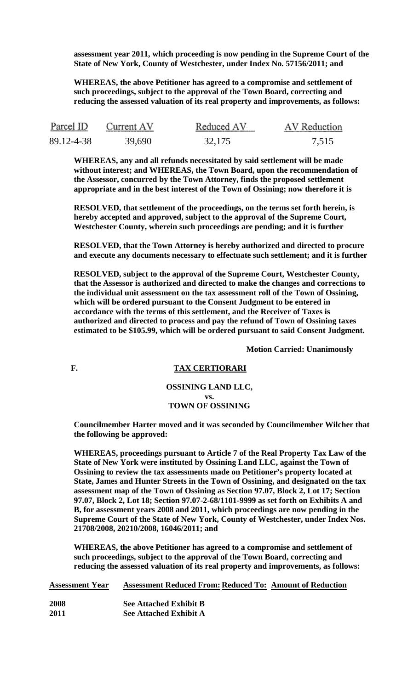**assessment year 2011, which proceeding is now pending in the Supreme Court of the State of New York, County of Westchester, under Index No. 57156/2011; and** 

**WHEREAS, the above Petitioner has agreed to a compromise and settlement of such proceedings, subject to the approval of the Town Board, correcting and reducing the assessed valuation of its real property and improvements, as follows:** 

| Parcel ID  | Current AV | Reduced AV | AV Reduction |
|------------|------------|------------|--------------|
| 89.12-4-38 | 39,690     | 32,175     | 7.515        |

**WHEREAS, any and all refunds necessitated by said settlement will be made without interest; and WHEREAS, the Town Board, upon the recommendation of the Assessor, concurred by the Town Attorney, finds the proposed settlement appropriate and in the best interest of the Town of Ossining; now therefore it is** 

**RESOLVED, that settlement of the proceedings, on the terms set forth herein, is hereby accepted and approved, subject to the approval of the Supreme Court, Westchester County, wherein such proceedings are pending; and it is further** 

**RESOLVED, that the Town Attorney is hereby authorized and directed to procure and execute any documents necessary to effectuate such settlement; and it is further** 

**RESOLVED, subject to the approval of the Supreme Court, Westchester County, that the Assessor is authorized and directed to make the changes and corrections to the individual unit assessment on the tax assessment roll of the Town of Ossining, which will be ordered pursuant to the Consent Judgment to be entered in accordance with the terms of this settlement, and the Receiver of Taxes is authorized and directed to process and pay the refund of Town of Ossining taxes estimated to be \$105.99, which will be ordered pursuant to said Consent Judgment.**

**Motion Carried: Unanimously**

#### **F. TAX CERTIORARI**

**OSSINING LAND LLC, vs. TOWN OF OSSINING**

**Councilmember Harter moved and it was seconded by Councilmember Wilcher that the following be approved:**

**WHEREAS, proceedings pursuant to Article 7 of the Real Property Tax Law of the State of New York were instituted by Ossining Land LLC, against the Town of Ossining to review the tax assessments made on Petitioner's property located at State, James and Hunter Streets in the Town of Ossining, and designated on the tax assessment map of the Town of Ossining as Section 97.07, Block 2, Lot 17; Section 97.07, Block 2, Lot 18; Section 97.07-2-68/1101-9999 as set forth on Exhibits A and B, for assessment years 2008 and 2011, which proceedings are now pending in the Supreme Court of the State of New York, County of Westchester, under Index Nos. 21708/2008, 20210/2008, 16046/2011; and** 

**WHEREAS, the above Petitioner has agreed to a compromise and settlement of such proceedings, subject to the approval of the Town Board, correcting and reducing the assessed valuation of its real property and improvements, as follows:** 

| <b>Assessment Year</b> | <b>Assessment Reduced From: Reduced To: Amount of Reduction</b> |
|------------------------|-----------------------------------------------------------------|
| 2008                   | <b>See Attached Exhibit B</b>                                   |
| 2011                   | <b>See Attached Exhibit A</b>                                   |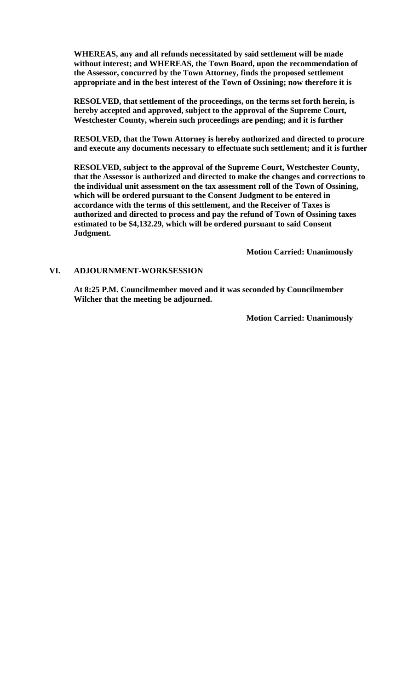**WHEREAS, any and all refunds necessitated by said settlement will be made without interest; and WHEREAS, the Town Board, upon the recommendation of the Assessor, concurred by the Town Attorney, finds the proposed settlement appropriate and in the best interest of the Town of Ossining; now therefore it is** 

**RESOLVED, that settlement of the proceedings, on the terms set forth herein, is hereby accepted and approved, subject to the approval of the Supreme Court, Westchester County, wherein such proceedings are pending; and it is further** 

**RESOLVED, that the Town Attorney is hereby authorized and directed to procure and execute any documents necessary to effectuate such settlement; and it is further** 

**RESOLVED, subject to the approval of the Supreme Court, Westchester County, that the Assessor is authorized and directed to make the changes and corrections to the individual unit assessment on the tax assessment roll of the Town of Ossining, which will be ordered pursuant to the Consent Judgment to be entered in accordance with the terms of this settlement, and the Receiver of Taxes is authorized and directed to process and pay the refund of Town of Ossining taxes estimated to be \$4,132.29, which will be ordered pursuant to said Consent Judgment.**

**Motion Carried: Unanimously**

#### **VI. ADJOURNMENT-WORKSESSION**

**At 8:25 P.M. Councilmember moved and it was seconded by Councilmember Wilcher that the meeting be adjourned.**

**Motion Carried: Unanimously**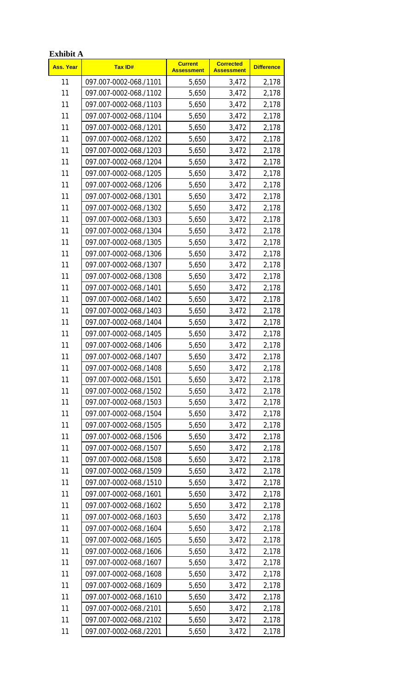| <b>Exhibit A</b> |                        |                                     |                                       |                   |
|------------------|------------------------|-------------------------------------|---------------------------------------|-------------------|
| <b>Ass. Year</b> | <b>Tax ID#</b>         | <b>Current</b><br><b>Assessment</b> | <b>Corrected</b><br><b>Assessment</b> | <b>Difference</b> |
| 11               | 097.007-0002-068./1101 | 5,650                               | 3,472                                 | 2,178             |
| 11               | 097.007-0002-068./1102 | 5,650                               | 3,472                                 | 2,178             |
| 11               | 097.007-0002-068./1103 | 5,650                               | 3,472                                 | 2,178             |
| 11               | 097.007-0002-068./1104 | 5,650                               | 3,472                                 | 2,178             |
| 11               | 097.007-0002-068./1201 | 5,650                               | 3,472                                 | 2,178             |
| 11               | 097.007-0002-068./1202 | 5,650                               | 3,472                                 | 2,178             |
| 11               | 097.007-0002-068./1203 | 5,650                               | 3,472                                 | 2,178             |
| 11               | 097.007-0002-068./1204 | 5,650                               | 3,472                                 | 2,178             |
| 11               | 097.007-0002-068./1205 | 5,650                               | 3,472                                 | 2,178             |
| 11               | 097.007-0002-068./1206 | 5,650                               | 3,472                                 | 2,178             |
| 11               | 097.007-0002-068./1301 | 5,650                               | 3,472                                 | 2,178             |
| 11               | 097.007-0002-068./1302 | 5,650                               | 3,472                                 | 2,178             |
| 11               | 097.007-0002-068./1303 | 5,650                               | 3,472                                 | 2,178             |
| 11               | 097.007-0002-068./1304 | 5,650                               | 3,472                                 | 2,178             |
| 11               | 097.007-0002-068./1305 | 5,650                               | 3,472                                 | 2,178             |
| 11               | 097.007-0002-068./1306 | 5,650                               | 3,472                                 | 2,178             |
| 11               | 097.007-0002-068./1307 | 5,650                               | 3,472                                 | 2,178             |
| 11               | 097.007-0002-068./1308 | 5,650                               | 3,472                                 | 2,178             |
| 11               | 097.007-0002-068./1401 | 5,650                               | 3,472                                 | 2,178             |
| 11               | 097.007-0002-068./1402 | 5,650                               | 3,472                                 | 2,178             |
| 11               | 097.007-0002-068./1403 | 5,650                               | 3,472                                 | 2,178             |
| 11               | 097.007-0002-068./1404 | 5,650                               | 3,472                                 | 2,178             |
| 11               | 097.007-0002-068./1405 | 5,650                               | 3,472                                 | 2,178             |
| 11               | 097.007-0002-068./1406 | 5,650                               | 3,472                                 | 2,178             |
| 11               | 097.007-0002-068./1407 | 5,650                               | 3,472                                 | 2,178             |
| 11               | 097.007-0002-068./1408 | 5,650                               | 3,472                                 | 2,178             |
| 11               | 097.007-0002-068./1501 | 5,650                               | 3,472                                 | 2,178             |
| 11               | 097.007-0002-068./1502 | 5,650                               | 3,472                                 | 2,178             |
| 11               | 097.007-0002-068./1503 | 5,650                               | 3,472                                 | 2,178             |
| 11               | 097.007-0002-068./1504 | 5,650                               | 3,472                                 | 2,178             |
| 11               | 097.007-0002-068./1505 | 5,650                               | 3,472                                 | 2,178             |
| 11               | 097.007-0002-068./1506 | 5,650                               | 3,472                                 | 2,178             |
| 11               | 097.007-0002-068./1507 | 5,650                               | 3,472                                 | 2,178             |
| 11               | 097.007-0002-068./1508 | 5,650                               | 3,472                                 | 2,178             |
| 11               | 097.007-0002-068./1509 | 5,650                               | 3,472                                 | 2,178             |
| 11               | 097.007-0002-068./1510 | 5,650                               | 3,472                                 | 2,178             |
| 11               | 097.007-0002-068./1601 | 5,650                               | 3,472                                 | 2,178             |
| 11               | 097.007-0002-068./1602 | 5,650                               | 3,472                                 | 2,178             |
| 11               | 097.007-0002-068./1603 | 5,650                               | 3,472                                 | 2,178             |
| 11               | 097.007-0002-068./1604 | 5,650                               | 3,472                                 | 2,178             |
| 11               | 097.007-0002-068./1605 | 5,650                               | 3,472                                 | 2,178             |
| 11               | 097.007-0002-068./1606 | 5,650                               | 3,472                                 | 2,178             |
| 11               | 097.007-0002-068./1607 | 5,650                               | 3,472                                 | 2,178             |
| 11               | 097.007-0002-068./1608 | 5,650                               | 3,472                                 | 2,178             |
| 11               | 097.007-0002-068./1609 | 5,650                               | 3,472                                 | 2,178             |
| 11               | 097.007-0002-068./1610 | 5,650                               | 3,472                                 | 2,178             |
| 11               | 097.007-0002-068./2101 | 5,650                               | 3,472                                 | 2,178             |
| 11               | 097.007-0002-068./2102 | 5,650                               | 3,472                                 | 2,178             |
| 11               | 097.007-0002-068./2201 | 5,650                               | 3,472                                 | 2,178             |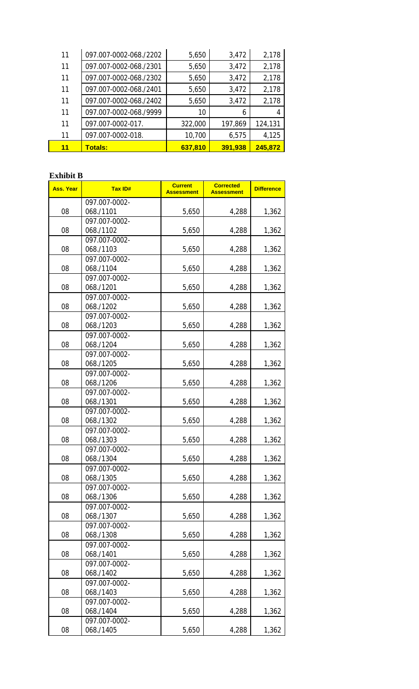| 11 | 097.007-0002-068./2202 | 5,650   | 3,472   | 2,178   |
|----|------------------------|---------|---------|---------|
| 11 | 097.007-0002-068./2301 | 5,650   | 3,472   | 2,178   |
| 11 | 097.007-0002-068./2302 | 5,650   | 3,472   | 2,178   |
| 11 | 097.007-0002-068./2401 | 5,650   | 3,472   | 2,178   |
| 11 | 097.007-0002-068./2402 | 5,650   | 3,472   | 2,178   |
| 11 | 097.007-0002-068./9999 | 10      | 6       |         |
| 11 | 097.007-0002-017.      | 322,000 | 197,869 | 124,131 |
| 11 | 097.007-0002-018.      | 10,700  | 6,575   | 4,125   |
| 11 | <b>Totals:</b>         | 637,810 | 391,938 | 245,872 |

## **Exhibit B**

| <b>Ass. Year</b> | <b>Tax ID#</b> | <b>Current</b><br><b>Assessment</b> | <b>Corrected</b><br><b>Assessment</b> | <b>Difference</b> |
|------------------|----------------|-------------------------------------|---------------------------------------|-------------------|
|                  | 097.007-0002-  |                                     |                                       |                   |
| 08               | 068./1101      | 5,650                               | 4,288                                 | 1,362             |
|                  | 097.007-0002-  |                                     |                                       |                   |
| 08               | 068./1102      | 5,650                               | 4,288                                 | 1,362             |
|                  | 097.007-0002-  |                                     |                                       |                   |
| 08               | 068./1103      | 5,650                               | 4,288                                 | 1,362             |
|                  | 097.007-0002-  |                                     |                                       |                   |
| 08               | 068./1104      | 5,650                               | 4,288                                 | 1,362             |
|                  | 097.007-0002-  |                                     |                                       |                   |
| 08               | 068./1201      | 5,650                               | 4,288                                 | 1,362             |
|                  | 097.007-0002-  |                                     |                                       |                   |
| 08               | 068./1202      | 5,650                               | 4,288                                 | 1,362             |
|                  | 097.007-0002-  |                                     |                                       |                   |
| 08               | 068./1203      | 5,650                               | 4,288                                 | 1,362             |
|                  | 097.007-0002-  |                                     |                                       |                   |
| 08               | 068./1204      | 5,650                               | 4,288                                 | 1,362             |
|                  | 097.007-0002-  |                                     |                                       |                   |
| 08               | 068./1205      | 5,650                               | 4,288                                 | 1,362             |
|                  | 097.007-0002-  |                                     |                                       |                   |
| 08               | 068./1206      | 5,650                               | 4,288                                 | 1,362             |
|                  | 097.007-0002-  |                                     |                                       |                   |
| 08               | 068./1301      | 5,650                               | 4,288                                 | 1,362             |
|                  | 097.007-0002-  |                                     |                                       |                   |
| 08               | 068./1302      | 5,650                               | 4,288                                 | 1,362             |
|                  | 097.007-0002-  |                                     |                                       |                   |
| 08               | 068./1303      | 5,650                               | 4,288                                 | 1,362             |
|                  | 097.007-0002-  |                                     |                                       |                   |
| 08               | 068./1304      | 5,650                               | 4,288                                 | 1,362             |
|                  | 097.007-0002-  |                                     |                                       |                   |
| 08               | 068./1305      | 5,650                               | 4,288                                 | 1,362             |
|                  | 097.007-0002-  |                                     |                                       |                   |
| 08               | 068./1306      | 5,650                               | 4,288                                 | 1,362             |
|                  | 097.007-0002-  |                                     |                                       |                   |
| 08               | 068./1307      | 5,650                               | 4,288                                 | 1,362             |
|                  | 097.007-0002-  |                                     |                                       |                   |
| 08               | 068./1308      | 5,650                               | 4,288                                 | 1,362             |
|                  | 097.007-0002-  |                                     |                                       |                   |
| 08               | 068./1401      | 5,650                               | 4,288                                 | 1,362             |
|                  | 097.007-0002-  |                                     |                                       |                   |
| 08               | 068./1402      | 5,650                               | 4,288                                 | 1,362             |
|                  | 097.007-0002-  |                                     |                                       |                   |
| 08               | 068./1403      | 5,650                               | 4,288                                 | 1,362             |
|                  | 097.007-0002-  |                                     |                                       |                   |
| 08               | 068./1404      | 5,650                               | 4,288                                 | 1,362             |
|                  | 097.007-0002-  |                                     |                                       |                   |
| 08               | 068./1405      | 5,650                               | 4,288                                 | 1,362             |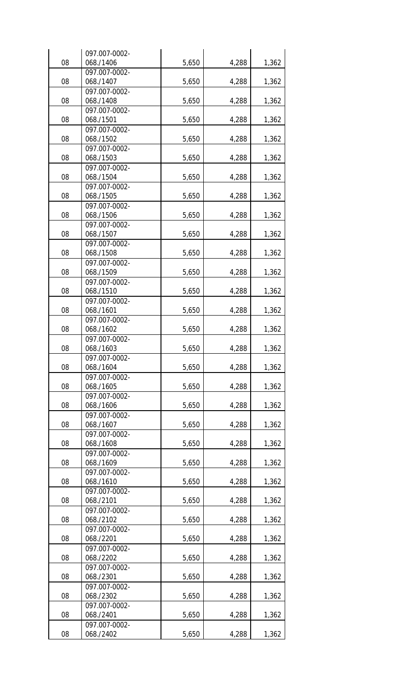|    | 097.007-0002- |       |       |       |
|----|---------------|-------|-------|-------|
| 08 | 068./1406     | 5,650 | 4,288 | 1,362 |
|    | 097.007-0002- |       |       |       |
| 08 | 068./1407     | 5,650 | 4,288 | 1,362 |
|    | 097.007-0002- |       |       |       |
| 08 | 068./1408     | 5,650 | 4,288 | 1,362 |
|    | 097.007-0002- |       |       |       |
| 08 | 068./1501     | 5,650 | 4,288 | 1,362 |
|    | 097.007-0002- |       |       |       |
| 08 | 068./1502     | 5,650 | 4,288 | 1,362 |
|    | 097.007-0002- |       |       |       |
| 08 | 068./1503     | 5,650 | 4,288 | 1,362 |
|    | 097.007-0002- |       |       |       |
| 08 | 068./1504     | 5,650 | 4,288 | 1,362 |
|    | 097.007-0002- |       |       |       |
| 08 | 068./1505     | 5,650 | 4,288 | 1,362 |
|    | 097.007-0002- |       |       |       |
| 08 | 068./1506     | 5,650 | 4,288 | 1,362 |
|    | 097.007-0002- |       |       |       |
| 08 | 068./1507     | 5,650 | 4,288 | 1,362 |
|    | 097.007-0002- |       |       |       |
| 08 | 068./1508     | 5,650 | 4,288 | 1,362 |
|    | 097.007-0002- |       |       |       |
| 08 | 068./1509     | 5,650 | 4,288 | 1,362 |
|    | 097.007-0002- |       |       |       |
| 08 | 068./1510     | 5,650 | 4,288 | 1,362 |
|    | 097.007-0002- |       |       |       |
| 08 | 068./1601     | 5,650 | 4,288 | 1,362 |
|    | 097.007-0002- |       |       |       |
| 08 | 068./1602     | 5,650 | 4,288 | 1,362 |
|    | 097.007-0002- |       |       |       |
| 08 | 068./1603     | 5,650 | 4,288 | 1,362 |
|    | 097.007-0002- |       |       |       |
| 08 | 068./1604     | 5,650 | 4,288 | 1,362 |
|    | 097.007-0002- |       |       |       |
| 08 | 068./1605     | 5,650 | 4,288 | 1,362 |
|    | 097.007-0002- |       |       |       |
| 08 | 068./1606     | 5,650 | 4,288 | 1,362 |
|    | 097.007-0002- |       |       |       |
| 08 | 068./1607     | 5,650 | 4,288 | 1,362 |
|    | 097.007-0002- |       |       |       |
| 08 | 068./1608     | 5,650 | 4,288 | 1,362 |
|    | 097.007-0002- |       |       |       |
| 08 | 068./1609     | 5,650 | 4,288 | 1,362 |
|    | 097.007-0002- |       |       |       |
| 08 | 068./1610     | 5,650 | 4,288 | 1,362 |
|    | 097.007-0002- |       |       |       |
| 08 | 068./2101     | 5,650 | 4,288 | 1,362 |
|    | 097.007-0002- |       |       |       |
| 08 | 068./2102     | 5,650 | 4,288 | 1,362 |
|    | 097.007-0002- |       |       |       |
| 08 | 068./2201     | 5,650 | 4,288 | 1,362 |
|    | 097.007-0002- |       |       |       |
| 08 | 068./2202     | 5,650 | 4,288 | 1,362 |
|    | 097.007-0002- |       |       |       |
| 08 | 068./2301     | 5,650 | 4,288 | 1,362 |
|    | 097.007-0002- |       |       |       |
| 08 | 068./2302     | 5,650 | 4,288 | 1,362 |
|    | 097.007-0002- |       |       |       |
| 08 | 068./2401     | 5,650 | 4,288 | 1,362 |
|    | 097.007-0002- |       |       |       |
| 08 | 068./2402     | 5,650 | 4,288 | 1,362 |
|    |               |       |       |       |